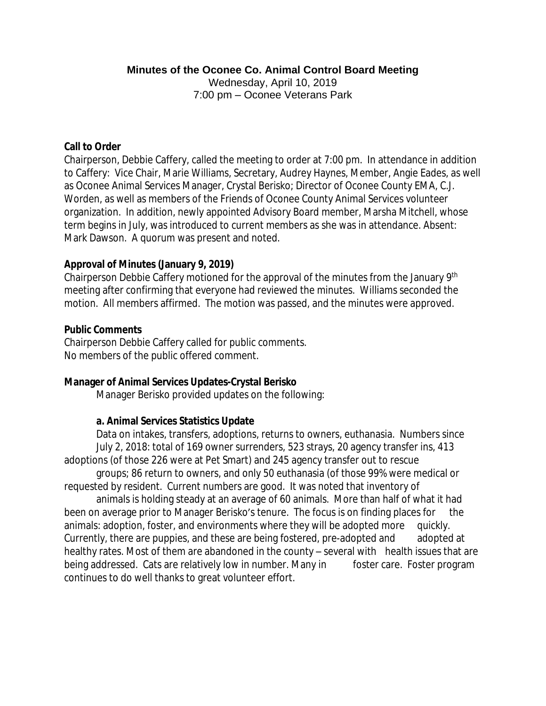#### **Minutes of the Oconee Co. Animal Control Board Meeting**

Wednesday, April 10, 2019 7:00 pm – Oconee Veterans Park

#### **Call to Order**

Chairperson, Debbie Caffery, called the meeting to order at 7:00 pm. In attendance in addition to Caffery: Vice Chair, Marie Williams, Secretary, Audrey Haynes, Member, Angie Eades, as well as Oconee Animal Services Manager, Crystal Berisko; Director of Oconee County EMA, C.J. Worden, as well as members of the Friends of Oconee County Animal Services volunteer organization. In addition, newly appointed Advisory Board member, Marsha Mitchell, whose term begins in July, was introduced to current members as she was in attendance. Absent: Mark Dawson. A quorum was present and noted.

#### **Approval of Minutes (January 9, 2019)**

Chairperson Debbie Caffery motioned for the approval of the minutes from the January 9th meeting after confirming that everyone had reviewed the minutes. Williams seconded the motion. All members affirmed. The motion was passed, and the minutes were approved.

#### **Public Comments**

Chairperson Debbie Caffery called for public comments. No members of the public offered comment.

#### **Manager of Animal Services Updates-Crystal Berisko**

Manager Berisko provided updates on the following:

### **a. Animal Services Statistics Update**

Data on intakes, transfers, adoptions, returns to owners, euthanasia. Numbers since July 2, 2018: total of 169 owner surrenders, 523 strays, 20 agency transfer ins, 413 adoptions (of those 226 were at Pet Smart) and 245 agency transfer out to rescue

groups; 86 return to owners, and only 50 euthanasia (of those 99% were medical or requested by resident. Current numbers are good. It was noted that inventory of

animals is holding steady at an average of 60 animals. More than half of what it had been on average prior to Manager Berisko's tenure. The focus is on finding places for the animals: adoption, foster, and environments where they will be adopted more quickly. Currently, there are puppies, and these are being fostered, pre-adopted and adopted at healthy rates. Most of them are abandoned in the county – several with health issues that are being addressed. Cats are relatively low in number. Many in foster care. Foster program continues to do well thanks to great volunteer effort.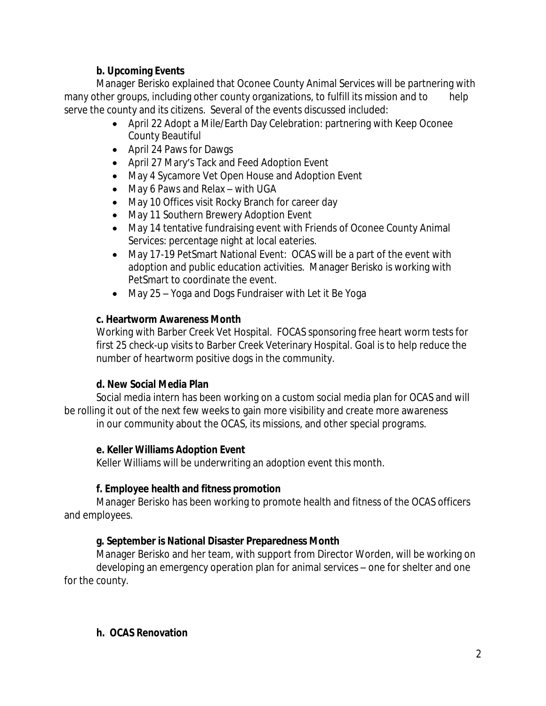### **b. Upcoming Events**

Manager Berisko explained that Oconee County Animal Services will be partnering with many other groups, including other county organizations, to fulfill its mission and to help serve the county and its citizens. Several of the events discussed included:

- April 22 Adopt a Mile/Earth Day Celebration: partnering with Keep Oconee County Beautiful
- April 24 Paws for Dawgs
- April 27 Mary's Tack and Feed Adoption Event
- May 4 Sycamore Vet Open House and Adoption Event
- May 6 Paws and Relax with UGA
- May 10 Offices visit Rocky Branch for career day
- May 11 Southern Brewery Adoption Event
- May 14 tentative fundraising event with Friends of Oconee County Animal Services: percentage night at local eateries.
- May 17-19 PetSmart National Event: OCAS will be a part of the event with adoption and public education activities. Manager Berisko is working with PetSmart to coordinate the event.
- May 25 Yoga and Dogs Fundraiser with Let it Be Yoga

### **c. Heartworm Awareness Month**

Working with Barber Creek Vet Hospital. FOCAS sponsoring free heart worm tests for first 25 check-up visits to Barber Creek Veterinary Hospital. Goal is to help reduce the number of heartworm positive dogs in the community.

### **d. New Social Media Plan**

Social media intern has been working on a custom social media plan for OCAS and will be rolling it out of the next few weeks to gain more visibility and create more awareness in our community about the OCAS, its missions, and other special programs.

# **e. Keller Williams Adoption Event**

Keller Williams will be underwriting an adoption event this month.

# **f. Employee health and fitness promotion**

Manager Berisko has been working to promote health and fitness of the OCAS officers and employees.

# **g. September is National Disaster Preparedness Month**

Manager Berisko and her team, with support from Director Worden, will be working on developing an emergency operation plan for animal services – one for shelter and one for the county.

### **h. OCAS Renovation**